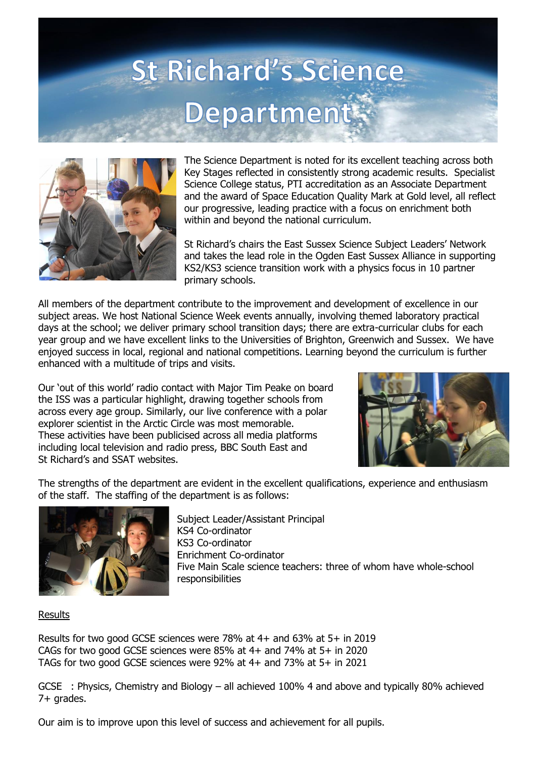



The Science Department is noted for its excellent teaching across both Key Stages reflected in consistently strong academic results. Specialist Science College status, PTI accreditation as an Associate Department and the award of Space Education Quality Mark at Gold level, all reflect our progressive, leading practice with a focus on enrichment both within and beyond the national curriculum.

St Richard's chairs the East Sussex Science Subject Leaders' Network and takes the lead role in the Ogden East Sussex Alliance in supporting KS2/KS3 science transition work with a physics focus in 10 partner primary schools.

All members of the department contribute to the improvement and development of excellence in our subject areas. We host National Science Week events annually, involving themed laboratory practical days at the school; we deliver primary school transition days; there are extra-curricular clubs for each year group and we have excellent links to the Universities of Brighton, Greenwich and Sussex. We have enjoyed success in local, regional and national competitions. Learning beyond the curriculum is further enhanced with a multitude of trips and visits.

Our 'out of this world' radio contact with Major Tim Peake on board the ISS was a particular highlight, drawing together schools from across every age group. Similarly, our live conference with a polar explorer scientist in the Arctic Circle was most memorable. These activities have been publicised across all media platforms including local television and radio press, BBC South East and St Richard's and SSAT websites.



The strengths of the department are evident in the excellent qualifications, experience and enthusiasm of the staff. The staffing of the department is as follows:



Subject Leader/Assistant Principal KS4 Co-ordinator KS3 Co-ordinator Enrichment Co-ordinator Five Main Scale science teachers: three of whom have whole-school responsibilities

**Results** 

Results for two good GCSE sciences were 78% at 4+ and 63% at 5+ in 2019 CAGs for two good GCSE sciences were 85% at 4+ and 74% at 5+ in 2020 TAGs for two good GCSE sciences were 92% at 4+ and 73% at 5+ in 2021

GCSE : Physics, Chemistry and Biology – all achieved 100% 4 and above and typically 80% achieved 7+ grades.

Our aim is to improve upon this level of success and achievement for all pupils.